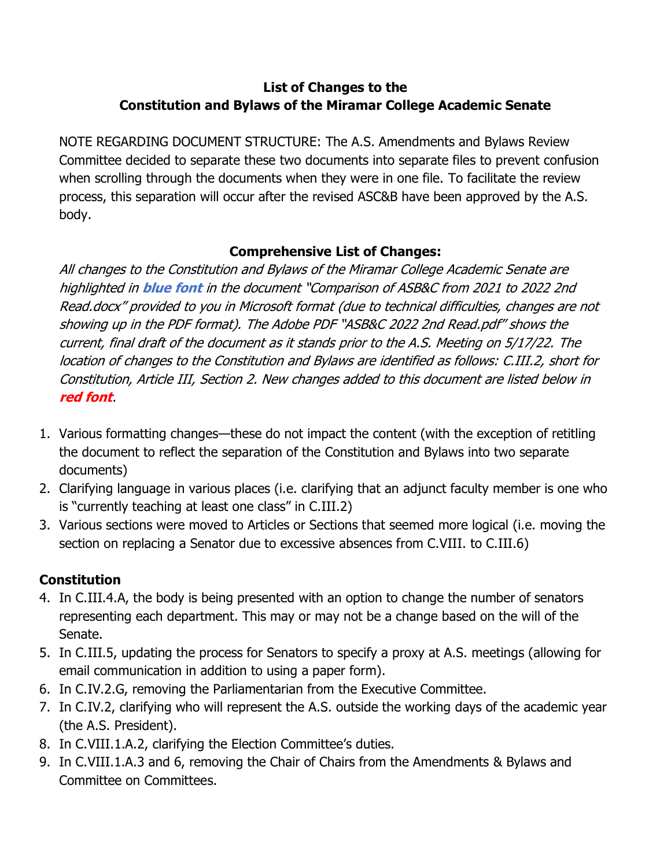## **List of Changes to the Constitution and Bylaws of the Miramar College Academic Senate**

NOTE REGARDING DOCUMENT STRUCTURE: The A.S. Amendments and Bylaws Review Committee decided to separate these two documents into separate files to prevent confusion when scrolling through the documents when they were in one file. To facilitate the review process, this separation will occur after the revised ASC&B have been approved by the A.S. body.

## **Comprehensive List of Changes:**

All changes to the Constitution and Bylaws of the Miramar College Academic Senate are highlighted in **blue font** in the document "Comparison of ASB&C from 2021 to 2022 2nd Read.docx" provided to you in Microsoft format (due to technical difficulties, changes are not showing up in the PDF format). The Adobe PDF "ASB&C 2022 2nd Read.pdf" shows the current, final draft of the document as it stands prior to the A.S. Meeting on 5/17/22. The location of changes to the Constitution and Bylaws are identified as follows: C.III.2, short for Constitution, Article III, Section 2. New changes added to this document are listed below in **red font**.

- 1. Various formatting changes—these do not impact the content (with the exception of retitling the document to reflect the separation of the Constitution and Bylaws into two separate documents)
- 2. Clarifying language in various places (i.e. clarifying that an adjunct faculty member is one who is "currently teaching at least one class" in C.III.2)
- 3. Various sections were moved to Articles or Sections that seemed more logical (i.e. moving the section on replacing a Senator due to excessive absences from C.VIII. to C.III.6)

## **Constitution**

- 4. In C.III.4.A, the body is being presented with an option to change the number of senators representing each department. This may or may not be a change based on the will of the Senate.
- 5. In C.III.5, updating the process for Senators to specify a proxy at A.S. meetings (allowing for email communication in addition to using a paper form).
- 6. In C.IV.2.G, removing the Parliamentarian from the Executive Committee.
- 7. In C.IV.2, clarifying who will represent the A.S. outside the working days of the academic year (the A.S. President).
- 8. In C.VIII.1.A.2, clarifying the Election Committee's duties.
- 9. In C.VIII.1.A.3 and 6, removing the Chair of Chairs from the Amendments & Bylaws and Committee on Committees.